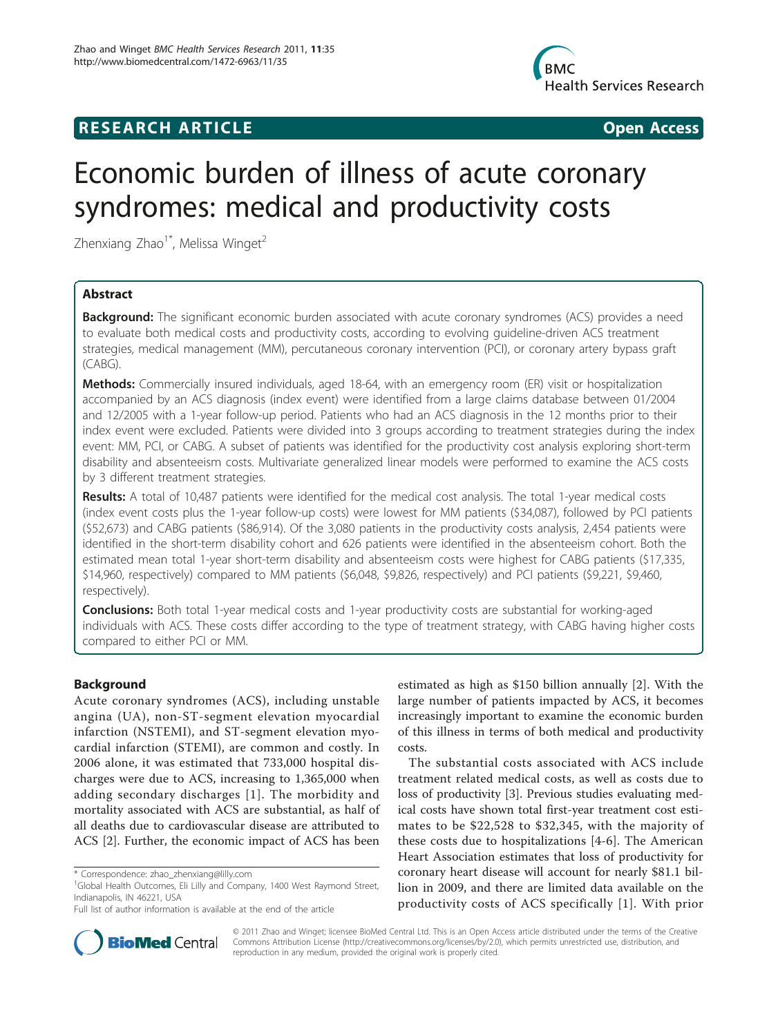



# Economic burden of illness of acute coronary syndromes: medical and productivity costs

Zhenxiang Zhao<sup>1\*</sup>, Melissa Winget<sup>2</sup>

## Abstract

**Background:** The significant economic burden associated with acute coronary syndromes (ACS) provides a need to evaluate both medical costs and productivity costs, according to evolving guideline-driven ACS treatment strategies, medical management (MM), percutaneous coronary intervention (PCI), or coronary artery bypass graft (CABG).

Methods: Commercially insured individuals, aged 18-64, with an emergency room (ER) visit or hospitalization accompanied by an ACS diagnosis (index event) were identified from a large claims database between 01/2004 and 12/2005 with a 1-year follow-up period. Patients who had an ACS diagnosis in the 12 months prior to their index event were excluded. Patients were divided into 3 groups according to treatment strategies during the index event: MM, PCI, or CABG. A subset of patients was identified for the productivity cost analysis exploring short-term disability and absenteeism costs. Multivariate generalized linear models were performed to examine the ACS costs by 3 different treatment strategies.

Results: A total of 10,487 patients were identified for the medical cost analysis. The total 1-year medical costs (index event costs plus the 1-year follow-up costs) were lowest for MM patients (\$34,087), followed by PCI patients (\$52,673) and CABG patients (\$86,914). Of the 3,080 patients in the productivity costs analysis, 2,454 patients were identified in the short-term disability cohort and 626 patients were identified in the absenteeism cohort. Both the estimated mean total 1-year short-term disability and absenteeism costs were highest for CABG patients (\$17,335, \$14,960, respectively) compared to MM patients (\$6,048, \$9,826, respectively) and PCI patients (\$9,221, \$9,460, respectively).

**Conclusions:** Both total 1-year medical costs and 1-year productivity costs are substantial for working-aged individuals with ACS. These costs differ according to the type of treatment strategy, with CABG having higher costs compared to either PCI or MM.

## Background

Acute coronary syndromes (ACS), including unstable angina (UA), non-ST-segment elevation myocardial infarction (NSTEMI), and ST-segment elevation myocardial infarction (STEMI), are common and costly. In 2006 alone, it was estimated that 733,000 hospital discharges were due to ACS, increasing to 1,365,000 when adding secondary discharges [\[1\]](#page-7-0). The morbidity and mortality associated with ACS are substantial, as half of all deaths due to cardiovascular disease are attributed to ACS [[2\]](#page-7-0). Further, the economic impact of ACS has been

estimated as high as \$150 billion annually [\[2](#page-7-0)]. With the large number of patients impacted by ACS, it becomes increasingly important to examine the economic burden of this illness in terms of both medical and productivity costs.

The substantial costs associated with ACS include treatment related medical costs, as well as costs due to loss of productivity [[3\]](#page-7-0). Previous studies evaluating medical costs have shown total first-year treatment cost estimates to be \$22,528 to \$32,345, with the majority of these costs due to hospitalizations [[4-6](#page-7-0)]. The American Heart Association estimates that loss of productivity for coronary heart disease will account for nearly \$81.1 billion in 2009, and there are limited data available on the productivity costs of ACS specifically [[1\]](#page-7-0). With prior



© 2011 Zhao and Winget; licensee BioMed Central Ltd. This is an Open Access article distributed under the terms of the Creative Commons Attribution License [\(http://creativecommons.org/licenses/by/2.0](http://creativecommons.org/licenses/by/2.0)), which permits unrestricted use, distribution, and reproduction in any medium, provided the original work is properly cited.

<sup>\*</sup> Correspondence: [zhao\\_zhenxiang@lilly.com](mailto:zhao_zhenxiang@lilly.com)

<sup>&</sup>lt;sup>1</sup>Global Health Outcomes, Eli Lilly and Company, 1400 West Raymond Street, Indianapolis, IN 46221, USA

Full list of author information is available at the end of the article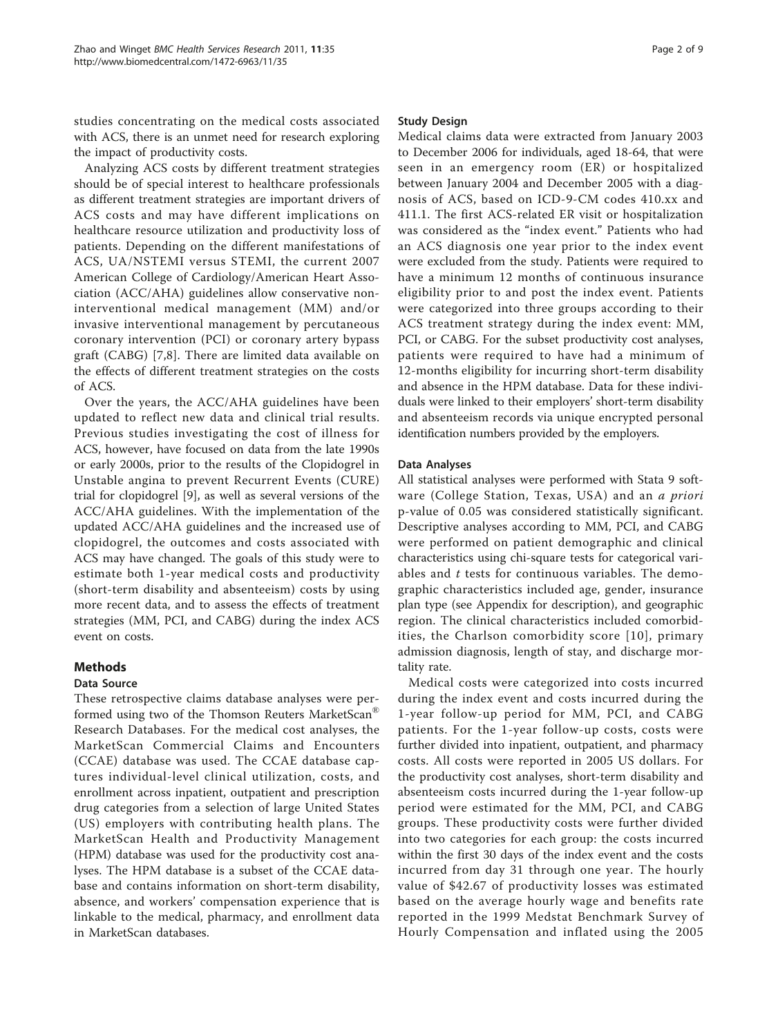studies concentrating on the medical costs associated with ACS, there is an unmet need for research exploring the impact of productivity costs.

Analyzing ACS costs by different treatment strategies should be of special interest to healthcare professionals as different treatment strategies are important drivers of ACS costs and may have different implications on healthcare resource utilization and productivity loss of patients. Depending on the different manifestations of ACS, UA/NSTEMI versus STEMI, the current 2007 American College of Cardiology/American Heart Association (ACC/AHA) guidelines allow conservative noninterventional medical management (MM) and/or invasive interventional management by percutaneous coronary intervention (PCI) or coronary artery bypass graft (CABG) [[7](#page-7-0)[,8](#page-8-0)]. There are limited data available on the effects of different treatment strategies on the costs of ACS.

Over the years, the ACC/AHA guidelines have been updated to reflect new data and clinical trial results. Previous studies investigating the cost of illness for ACS, however, have focused on data from the late 1990s or early 2000s, prior to the results of the Clopidogrel in Unstable angina to prevent Recurrent Events (CURE) trial for clopidogrel [\[9\]](#page-8-0), as well as several versions of the ACC/AHA guidelines. With the implementation of the updated ACC/AHA guidelines and the increased use of clopidogrel, the outcomes and costs associated with ACS may have changed. The goals of this study were to estimate both 1-year medical costs and productivity (short-term disability and absenteeism) costs by using more recent data, and to assess the effects of treatment strategies (MM, PCI, and CABG) during the index ACS event on costs.

## Methods

## Data Source

These retrospective claims database analyses were performed using two of the Thomson Reuters MarketScan® Research Databases. For the medical cost analyses, the MarketScan Commercial Claims and Encounters (CCAE) database was used. The CCAE database captures individual-level clinical utilization, costs, and enrollment across inpatient, outpatient and prescription drug categories from a selection of large United States (US) employers with contributing health plans. The MarketScan Health and Productivity Management (HPM) database was used for the productivity cost analyses. The HPM database is a subset of the CCAE database and contains information on short-term disability, absence, and workers' compensation experience that is linkable to the medical, pharmacy, and enrollment data in MarketScan databases.

#### Study Design

Medical claims data were extracted from January 2003 to December 2006 for individuals, aged 18-64, that were seen in an emergency room (ER) or hospitalized between January 2004 and December 2005 with a diagnosis of ACS, based on ICD-9-CM codes 410.xx and 411.1. The first ACS-related ER visit or hospitalization was considered as the "index event." Patients who had an ACS diagnosis one year prior to the index event were excluded from the study. Patients were required to have a minimum 12 months of continuous insurance eligibility prior to and post the index event. Patients were categorized into three groups according to their ACS treatment strategy during the index event: MM, PCI, or CABG. For the subset productivity cost analyses, patients were required to have had a minimum of 12-months eligibility for incurring short-term disability and absence in the HPM database. Data for these individuals were linked to their employers' short-term disability and absenteeism records via unique encrypted personal identification numbers provided by the employers.

#### Data Analyses

All statistical analyses were performed with Stata 9 software (College Station, Texas, USA) and an *a priori* p-value of 0.05 was considered statistically significant. Descriptive analyses according to MM, PCI, and CABG were performed on patient demographic and clinical characteristics using chi-square tests for categorical variables and  $t$  tests for continuous variables. The demographic characteristics included age, gender, insurance plan type (see Appendix for description), and geographic region. The clinical characteristics included comorbidities, the Charlson comorbidity score [[10\]](#page-8-0), primary admission diagnosis, length of stay, and discharge mortality rate.

Medical costs were categorized into costs incurred during the index event and costs incurred during the 1-year follow-up period for MM, PCI, and CABG patients. For the 1-year follow-up costs, costs were further divided into inpatient, outpatient, and pharmacy costs. All costs were reported in 2005 US dollars. For the productivity cost analyses, short-term disability and absenteeism costs incurred during the 1-year follow-up period were estimated for the MM, PCI, and CABG groups. These productivity costs were further divided into two categories for each group: the costs incurred within the first 30 days of the index event and the costs incurred from day 31 through one year. The hourly value of \$42.67 of productivity losses was estimated based on the average hourly wage and benefits rate reported in the 1999 Medstat Benchmark Survey of Hourly Compensation and inflated using the 2005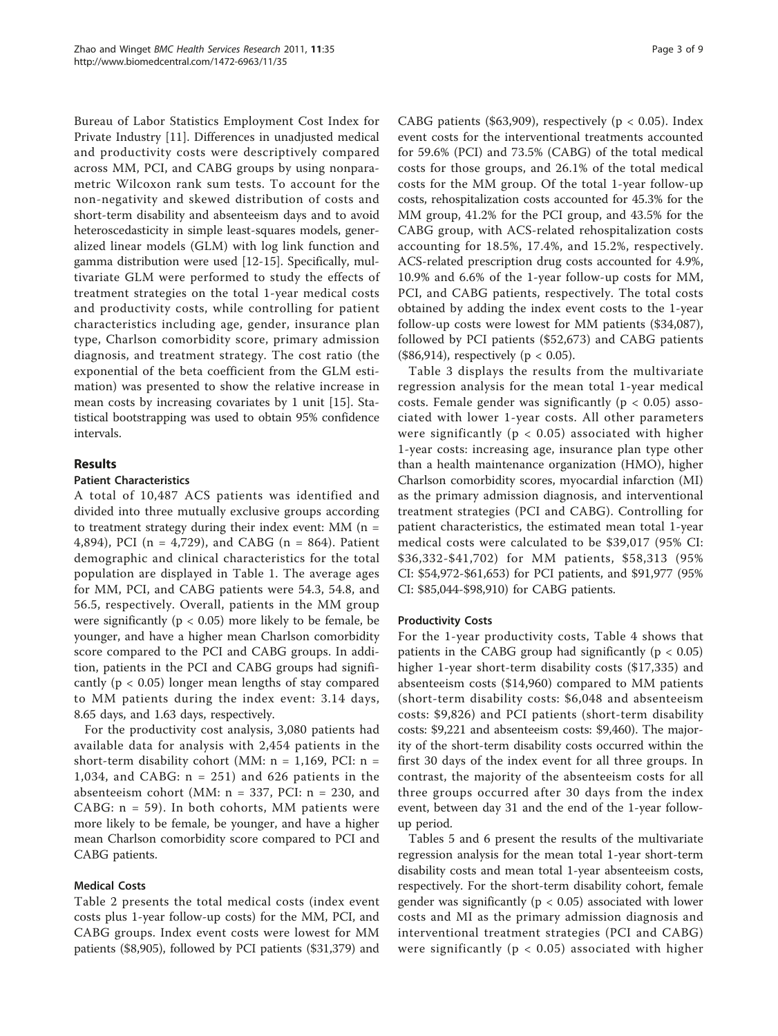Bureau of Labor Statistics Employment Cost Index for Private Industry [[11\]](#page-8-0). Differences in unadjusted medical and productivity costs were descriptively compared across MM, PCI, and CABG groups by using nonparametric Wilcoxon rank sum tests. To account for the non-negativity and skewed distribution of costs and short-term disability and absenteeism days and to avoid heteroscedasticity in simple least-squares models, generalized linear models (GLM) with log link function and gamma distribution were used [\[12](#page-8-0)-[15\]](#page-8-0). Specifically, multivariate GLM were performed to study the effects of treatment strategies on the total 1-year medical costs and productivity costs, while controlling for patient characteristics including age, gender, insurance plan type, Charlson comorbidity score, primary admission diagnosis, and treatment strategy. The cost ratio (the exponential of the beta coefficient from the GLM estimation) was presented to show the relative increase in mean costs by increasing covariates by 1 unit [\[15](#page-8-0)]. Statistical bootstrapping was used to obtain 95% confidence intervals.

## Results

## Patient Characteristics

A total of 10,487 ACS patients was identified and divided into three mutually exclusive groups according to treatment strategy during their index event:  $MM$  (n = 4,894), PCI (n = 4,729), and CABG (n = 864). Patient demographic and clinical characteristics for the total population are displayed in Table [1.](#page-3-0) The average ages for MM, PCI, and CABG patients were 54.3, 54.8, and 56.5, respectively. Overall, patients in the MM group were significantly ( $p < 0.05$ ) more likely to be female, be younger, and have a higher mean Charlson comorbidity score compared to the PCI and CABG groups. In addition, patients in the PCI and CABG groups had significantly (p < 0.05) longer mean lengths of stay compared to MM patients during the index event: 3.14 days, 8.65 days, and 1.63 days, respectively.

For the productivity cost analysis, 3,080 patients had available data for analysis with 2,454 patients in the short-term disability cohort (MM:  $n = 1,169$ , PCI:  $n =$ 1,034, and CABG:  $n = 251$ ) and 626 patients in the absenteeism cohort (MM:  $n = 337$ , PCI:  $n = 230$ , and CABG:  $n = 59$ ). In both cohorts, MM patients were more likely to be female, be younger, and have a higher mean Charlson comorbidity score compared to PCI and CABG patients.

## Medical Costs

Table [2](#page-4-0) presents the total medical costs (index event costs plus 1-year follow-up costs) for the MM, PCI, and CABG groups. Index event costs were lowest for MM patients (\$8,905), followed by PCI patients (\$31,379) and

CABG patients (\$63,909), respectively ( $p < 0.05$ ). Index event costs for the interventional treatments accounted for 59.6% (PCI) and 73.5% (CABG) of the total medical costs for those groups, and 26.1% of the total medical costs for the MM group. Of the total 1-year follow-up costs, rehospitalization costs accounted for 45.3% for the MM group, 41.2% for the PCI group, and 43.5% for the CABG group, with ACS-related rehospitalization costs accounting for 18.5%, 17.4%, and 15.2%, respectively. ACS-related prescription drug costs accounted for 4.9%, 10.9% and 6.6% of the 1-year follow-up costs for MM, PCI, and CABG patients, respectively. The total costs obtained by adding the index event costs to the 1-year follow-up costs were lowest for MM patients (\$34,087), followed by PCI patients (\$52,673) and CABG patients (\$86,914), respectively ( $p < 0.05$ ).

Table [3](#page-4-0) displays the results from the multivariate regression analysis for the mean total 1-year medical costs. Female gender was significantly ( $p < 0.05$ ) associated with lower 1-year costs. All other parameters were significantly ( $p < 0.05$ ) associated with higher 1-year costs: increasing age, insurance plan type other than a health maintenance organization (HMO), higher Charlson comorbidity scores, myocardial infarction (MI) as the primary admission diagnosis, and interventional treatment strategies (PCI and CABG). Controlling for patient characteristics, the estimated mean total 1-year medical costs were calculated to be \$39,017 (95% CI: \$36,332-\$41,702) for MM patients, \$58,313 (95% CI: \$54,972-\$61,653) for PCI patients, and \$91,977 (95% CI: \$85,044-\$98,910) for CABG patients.

## Productivity Costs

For the 1-year productivity costs, Table [4](#page-5-0) shows that patients in the CABG group had significantly ( $p < 0.05$ ) higher 1-year short-term disability costs (\$17,335) and absenteeism costs (\$14,960) compared to MM patients (short-term disability costs: \$6,048 and absenteeism costs: \$9,826) and PCI patients (short-term disability costs: \$9,221 and absenteeism costs: \$9,460). The majority of the short-term disability costs occurred within the first 30 days of the index event for all three groups. In contrast, the majority of the absenteeism costs for all three groups occurred after 30 days from the index event, between day 31 and the end of the 1-year followup period.

Tables [5](#page-5-0) and [6](#page-6-0) present the results of the multivariate regression analysis for the mean total 1-year short-term disability costs and mean total 1-year absenteeism costs, respectively. For the short-term disability cohort, female gender was significantly ( $p < 0.05$ ) associated with lower costs and MI as the primary admission diagnosis and interventional treatment strategies (PCI and CABG) were significantly ( $p < 0.05$ ) associated with higher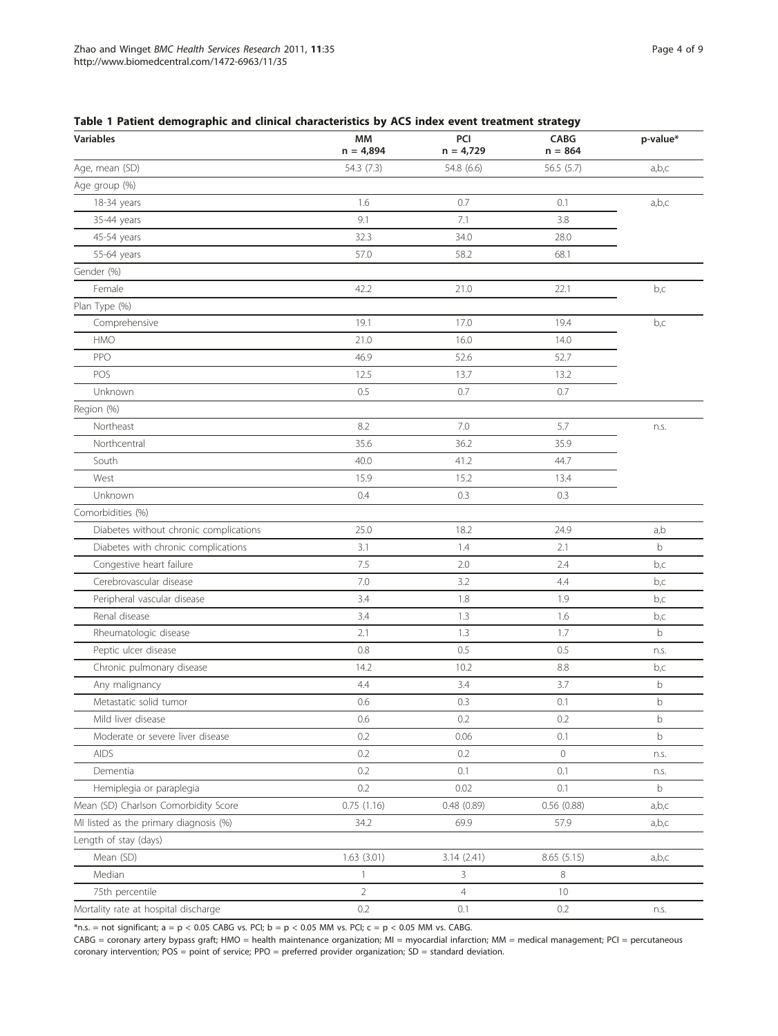<span id="page-3-0"></span>

|  |  |  |  | Table 1 Patient demographic and clinical characteristics by ACS index event treatment strategy |  |  |  |  |  |
|--|--|--|--|------------------------------------------------------------------------------------------------|--|--|--|--|--|
|--|--|--|--|------------------------------------------------------------------------------------------------|--|--|--|--|--|

| <b>Variables</b>                       | MM<br>$n = 4,894$ | PCI<br>$n = 4,729$ | CABG<br>$n = 864$ | p-value*     |
|----------------------------------------|-------------------|--------------------|-------------------|--------------|
| Age, mean (SD)                         | 54.3 (7.3)        | 54.8 (6.6)         | 56.5(5.7)         | a,b,c        |
| Age group (%)                          |                   |                    |                   |              |
| 18-34 years                            | 1.6               | 0.7                | 0.1               | a,b,c        |
| 35-44 years                            | 9.1               | 7.1                | 3.8               |              |
| 45-54 years                            | 32.3              | 34.0               | 28.0              |              |
| 55-64 years                            | 57.0              | 58.2               | 68.1              |              |
| Gender (%)                             |                   |                    |                   |              |
| Female                                 | 42.2              | 21.0               | 22.1              | b,c          |
| Plan Type (%)                          |                   |                    |                   |              |
| Comprehensive                          | 19.1              | 17.0               | 19.4              | b,c          |
| <b>HMO</b>                             | 21.0              | 16.0               | 14.0              |              |
| PPO                                    | 46.9              | 52.6               | 52.7              |              |
| POS                                    | 12.5              | 13.7               | 13.2              |              |
| Unknown                                | 0.5               | 0.7                | 0.7               |              |
| Region (%)                             |                   |                    |                   |              |
| Northeast                              | 8.2               | 7.0                | 5.7               | n.s.         |
| Northcentral                           | 35.6              | 36.2               | 35.9              |              |
| South                                  | 40.0              | 41.2               | 44.7              |              |
| West                                   | 15.9              | 15.2               | 13.4              |              |
| Unknown                                | 0.4               | 0.3                | 0.3               |              |
| Comorbidities (%)                      |                   |                    |                   |              |
| Diabetes without chronic complications | 25.0              | 18.2               | 24.9              | a,b          |
| Diabetes with chronic complications    | 3.1               | 1.4                | 2.1               | b            |
| Congestive heart failure               | 7.5               | 2.0                | 2.4               | b,c          |
| Cerebrovascular disease                | 7.0               | 3.2                | 4.4               | b,c          |
| Peripheral vascular disease            | 3.4               | 1.8                | 1.9               | b,c          |
| Renal disease                          | 3.4               | 1.3                | 1.6               | b,c          |
| Rheumatologic disease                  | 2.1               | 1.3                | 1.7               | b            |
| Peptic ulcer disease                   | $0.8\,$           | 0.5                | 0.5               | n.s.         |
| Chronic pulmonary disease              | 14.2              | 10.2               | 8.8               | b,c          |
| Any malignancy                         | 4.4               | 3.4                | 3.7               | b            |
| Metastatic solid tumor                 | 0.6               | 0.3                | 0.1               | b            |
| Mild liver disease                     | 0.6               | 0.2                | 0.2               | b            |
| Moderate or severe liver disease       | 0.2               | 0.06               | 0.1               | $\mathsf{b}$ |
| <b>AIDS</b>                            | 0.2               | 0.2                | $\overline{0}$    | n.s.         |
| Dementia                               | 0.2               | 0.1                | 0.1               | n.s.         |
| Hemiplegia or paraplegia               | 0.2               | 0.02               | 0.1               | b            |
| Mean (SD) Charlson Comorbidity Score   | 0.75(1.16)        | 0.48 (0.89)        | 0.56 (0.88)       | a,b,c        |
| MI listed as the primary diagnosis (%) | 34.2              | 69.9               | 57.9              | a,b,c        |
| Length of stay (days)                  |                   |                    |                   |              |
| Mean (SD)                              | 1.63(3.01)        | 3.14(2.41)         | 8.65 (5.15)       | a,b,c        |
| Median                                 | $\mathbb{1}$      | 3                  | 8                 |              |
| 75th percentile                        | $\sqrt{2}$        | $\overline{4}$     | 10                |              |
| Mortality rate at hospital discharge   | 0.2               | 0.1                | 0.2               | n.s.         |

 $*$ n.s. = not significant; a = p < 0.05 CABG vs. PCI; b = p < 0.05 MM vs. PCI; c = p < 0.05 MM vs. CABG.

CABG = coronary artery bypass graft; HMO = health maintenance organization; MI = myocardial infarction; MM = medical management; PCI = percutaneous coronary intervention; POS = point of service; PPO = preferred provider organization; SD = standard deviation.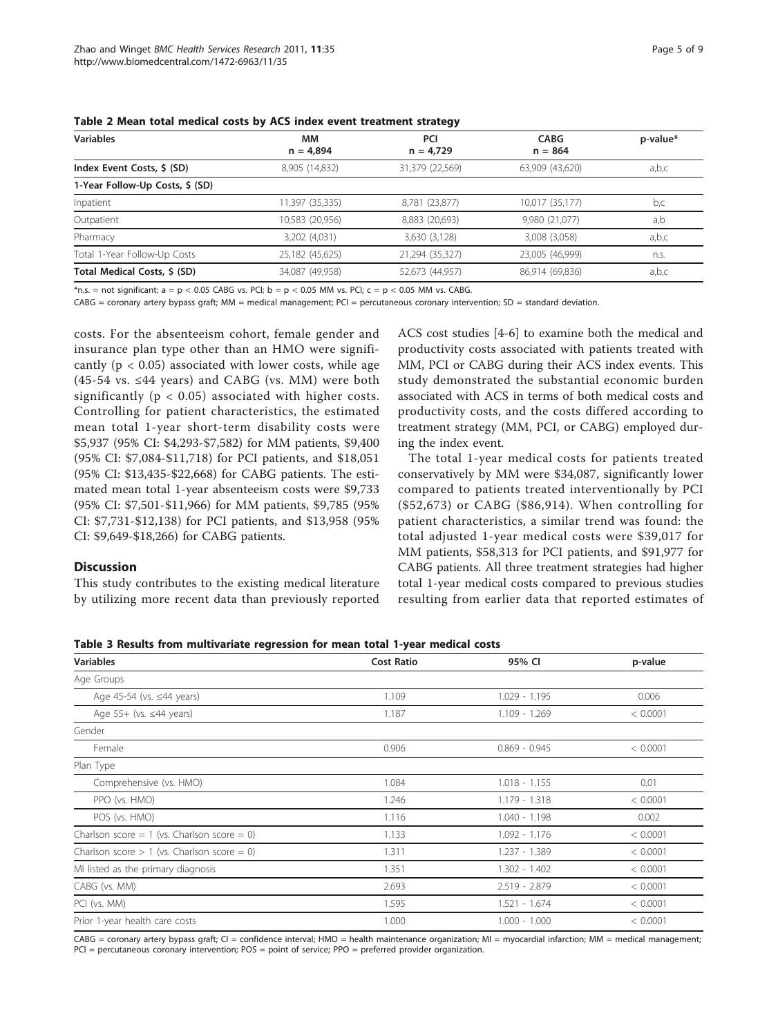| <b>Variables</b>                | MМ<br>$n = 4,894$ | <b>PCI</b><br>$n = 4.729$ | <b>CABG</b><br>$n = 864$ | p-value* |
|---------------------------------|-------------------|---------------------------|--------------------------|----------|
| Index Event Costs, \$ (SD)      | 8,905 (14,832)    | 31,379 (22,569)           | 63,909 (43,620)          | a,b,c    |
| 1-Year Follow-Up Costs, \$ (SD) |                   |                           |                          |          |
| Inpatient                       | 11,397 (35,335)   | 8,781 (23,877)            | 10,017 (35,177)          | b,c      |
| Outpatient                      | 10,583 (20,956)   | 8,883 (20,693)            | 9,980 (21,077)           | a,b      |
| Pharmacy                        | 3,202 (4,031)     | 3,630 (3,128)             | 3,008 (3,058)            | a,b,c    |
| Total 1-Year Follow-Up Costs    | 25,182 (45,625)   | 21,294 (35,327)           | 23,005 (46,999)          | n.s.     |
| Total Medical Costs, \$ (SD)    | 34,087 (49,958)   | 52,673 (44,957)           | 86,914 (69,836)          | a,b,c    |

<span id="page-4-0"></span>

| Table 2 Mean total medical costs by ACS index event treatment strategy |  |  |  |
|------------------------------------------------------------------------|--|--|--|
|------------------------------------------------------------------------|--|--|--|

 $*$ n.s. = not significant; a = p < 0.05 CABG vs. PCI; b = p < 0.05 MM vs. PCI; c = p < 0.05 MM vs. CABG.

CABG = coronary artery bypass graft; MM = medical management; PCI = percutaneous coronary intervention; SD = standard deviation.

costs. For the absenteeism cohort, female gender and insurance plan type other than an HMO were significantly ( $p < 0.05$ ) associated with lower costs, while age (45-54 vs. ≤44 years) and CABG (vs. MM) were both significantly ( $p < 0.05$ ) associated with higher costs. Controlling for patient characteristics, the estimated mean total 1-year short-term disability costs were \$5,937 (95% CI: \$4,293-\$7,582) for MM patients, \$9,400 (95% CI: \$7,084-\$11,718) for PCI patients, and \$18,051 (95% CI: \$13,435-\$22,668) for CABG patients. The estimated mean total 1-year absenteeism costs were \$9,733 (95% CI: \$7,501-\$11,966) for MM patients, \$9,785 (95% CI: \$7,731-\$12,138) for PCI patients, and \$13,958 (95% CI: \$9,649-\$18,266) for CABG patients.

## **Discussion**

This study contributes to the existing medical literature by utilizing more recent data than previously reported

ACS cost studies [\[4](#page-7-0)-[6\]](#page-7-0) to examine both the medical and productivity costs associated with patients treated with MM, PCI or CABG during their ACS index events. This study demonstrated the substantial economic burden associated with ACS in terms of both medical costs and productivity costs, and the costs differed according to treatment strategy (MM, PCI, or CABG) employed during the index event.

The total 1-year medical costs for patients treated conservatively by MM were \$34,087, significantly lower compared to patients treated interventionally by PCI (\$52,673) or CABG (\$86,914). When controlling for patient characteristics, a similar trend was found: the total adjusted 1-year medical costs were \$39,017 for MM patients, \$58,313 for PCI patients, and \$91,977 for CABG patients. All three treatment strategies had higher total 1-year medical costs compared to previous studies resulting from earlier data that reported estimates of

Table 3 Results from multivariate regression for mean total 1-year medical costs

| <b>Variables</b>                              | <b>Cost Ratio</b> | 95% CI          | p-value  |
|-----------------------------------------------|-------------------|-----------------|----------|
| Age Groups                                    |                   |                 |          |
| Age 45-54 (vs. ≤44 years)                     | 1.109             | $1.029 - 1.195$ | 0.006    |
| Age $55+$ (vs. $\leq 44$ years)               | 1.187             | $1.109 - 1.269$ | < 0.0001 |
| Gender                                        |                   |                 |          |
| Female                                        | 0.906             | $0.869 - 0.945$ | < 0.0001 |
| Plan Type                                     |                   |                 |          |
| Comprehensive (vs. HMO)                       | 1.084             | $1.018 - 1.155$ | 0.01     |
| PPO (vs. HMO)                                 | 1.246             | $1.179 - 1.318$ | < 0.0001 |
| POS (vs. HMO)                                 | 1.116             | $1.040 - 1.198$ | 0.002    |
| Charlson score = 1 (vs. Charlson score = 0)   | 1.133             | $1.092 - 1.176$ | < 0.0001 |
| Charlson score $> 1$ (vs. Charlson score = 0) | 1.311             | 1.237 - 1.389   | < 0.0001 |
| MI listed as the primary diagnosis            | 1.351             | $1.302 - 1.402$ | < 0.0001 |
| CABG (vs. MM)                                 | 2.693             | $2.519 - 2.879$ | < 0.0001 |
| PCI (vs. MM)                                  | 1.595             | $1.521 - 1.674$ | < 0.0001 |
| Prior 1-year health care costs                | 1.000             | $1.000 - 1.000$ | < 0.0001 |

CABG = coronary artery bypass graft; CI = confidence interval; HMO = health maintenance organization; MI = myocardial infarction; MM = medical management; PCI = percutaneous coronary intervention; POS = point of service; PPO = preferred provider organization.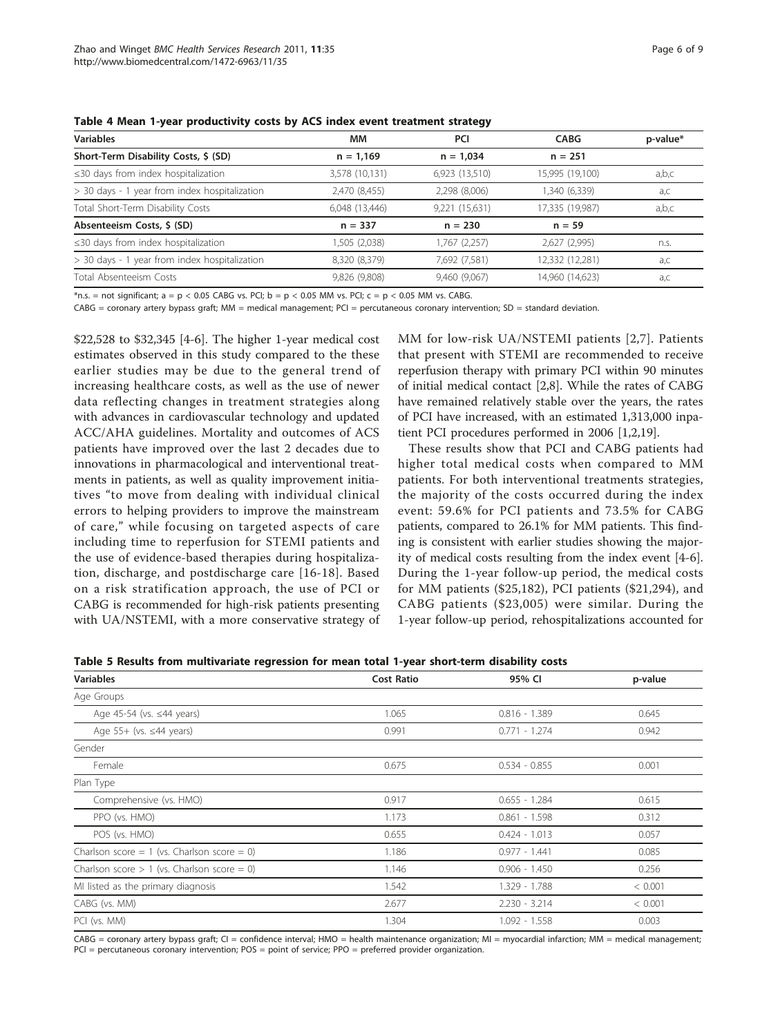| <b>Variables</b>                              | MМ             | PCI            | <b>CABG</b>     | p-value* |
|-----------------------------------------------|----------------|----------------|-----------------|----------|
| Short-Term Disability Costs, \$ (SD)          | $n = 1,169$    | $n = 1,034$    | $n = 251$       |          |
| $\leq$ 30 days from index hospitalization     | 3,578 (10,131) | 6,923 (13,510) | 15,995 (19,100) | a,b,c    |
| > 30 days - 1 year from index hospitalization | 2,470 (8,455)  | 2,298 (8,006)  | 1,340 (6,339)   | a,c      |
| Total Short-Term Disability Costs             | 6,048 (13,446) | 9,221 (15,631) | 17,335 (19,987) | a,b,c    |
| Absenteeism Costs, \$ (SD)                    | $n = 337$      | $n = 230$      | $n = 59$        |          |
| $\leq$ 30 days from index hospitalization     | 1,505 (2,038)  | 1,767 (2,257)  | 2,627 (2,995)   | n.s.     |
| > 30 days - 1 year from index hospitalization | 8,320 (8,379)  | 7,692 (7,581)  | 12,332 (12,281) | a,c      |
| Total Absenteeism Costs                       | 9,826 (9,808)  | 9,460 (9,067)  | 14,960 (14,623) | a,c      |

<span id="page-5-0"></span>Table 4 Mean 1-year productivity costs by ACS index event treatment strategy

 $*$ n.s. = not significant; a = p < 0.05 CABG vs. PCI; b = p < 0.05 MM vs. PCI; c = p < 0.05 MM vs. CABG.

CABG = coronary artery bypass graft; MM = medical management; PCI = percutaneous coronary intervention; SD = standard deviation.

\$22,528 to \$32,345 [[4-6\]](#page-7-0). The higher 1-year medical cost estimates observed in this study compared to the these earlier studies may be due to the general trend of increasing healthcare costs, as well as the use of newer data reflecting changes in treatment strategies along with advances in cardiovascular technology and updated ACC/AHA guidelines. Mortality and outcomes of ACS patients have improved over the last 2 decades due to innovations in pharmacological and interventional treatments in patients, as well as quality improvement initiatives "to move from dealing with individual clinical errors to helping providers to improve the mainstream of care," while focusing on targeted aspects of care including time to reperfusion for STEMI patients and the use of evidence-based therapies during hospitalization, discharge, and postdischarge care [\[16-18\]](#page-8-0). Based on a risk stratification approach, the use of PCI or CABG is recommended for high-risk patients presenting with UA/NSTEMI, with a more conservative strategy of

MM for low-risk UA/NSTEMI patients [\[2,7](#page-7-0)]. Patients that present with STEMI are recommended to receive reperfusion therapy with primary PCI within 90 minutes of initial medical contact [[2,](#page-7-0)[8\]](#page-8-0). While the rates of CABG have remained relatively stable over the years, the rates of PCI have increased, with an estimated 1,313,000 inpatient PCI procedures performed in 2006 [\[1,2](#page-7-0)[,19](#page-8-0)].

These results show that PCI and CABG patients had higher total medical costs when compared to MM patients. For both interventional treatments strategies, the majority of the costs occurred during the index event: 59.6% for PCI patients and 73.5% for CABG patients, compared to 26.1% for MM patients. This finding is consistent with earlier studies showing the majority of medical costs resulting from the index event [[4-6](#page-7-0)]. During the 1-year follow-up period, the medical costs for MM patients (\$25,182), PCI patients (\$21,294), and CABG patients (\$23,005) were similar. During the 1-year follow-up period, rehospitalizations accounted for

Table 5 Results from multivariate regression for mean total 1-year short-term disability costs

| <b>Variables</b>                              | <b>Cost Ratio</b> | 95% CI          | p-value |
|-----------------------------------------------|-------------------|-----------------|---------|
| Age Groups                                    |                   |                 |         |
| Age 45-54 (vs. ≤44 years)                     | 1.065             | $0.816 - 1.389$ | 0.645   |
| Age $55+$ (vs. $\leq 44$ years)               | 0.991             | $0.771 - 1.274$ | 0.942   |
| Gender                                        |                   |                 |         |
| Female                                        | 0.675             | $0.534 - 0.855$ | 0.001   |
| Plan Type                                     |                   |                 |         |
| Comprehensive (vs. HMO)                       | 0.917             | $0.655 - 1.284$ | 0.615   |
| PPO (vs. HMO)                                 | 1.173             | $0.861 - 1.598$ | 0.312   |
| POS (vs. HMO)                                 | 0.655             | $0.424 - 1.013$ | 0.057   |
| Charlson score = 1 (vs. Charlson score = 0)   | 1.186             | $0.977 - 1.441$ | 0.085   |
| Charlson score $> 1$ (vs. Charlson score = 0) | 1.146             | $0.906 - 1.450$ | 0.256   |
| MI listed as the primary diagnosis            | 1.542             | 1.329 - 1.788   | < 0.001 |
| CABG (vs. MM)                                 | 2.677             | $2.230 - 3.214$ | < 0.001 |
| PCI (vs. MM)                                  | 1.304             | $1.092 - 1.558$ | 0.003   |

CABG = coronary artery bypass graft; CI = confidence interval; HMO = health maintenance organization; MI = myocardial infarction; MM = medical management; PCI = percutaneous coronary intervention; POS = point of service; PPO = preferred provider organization.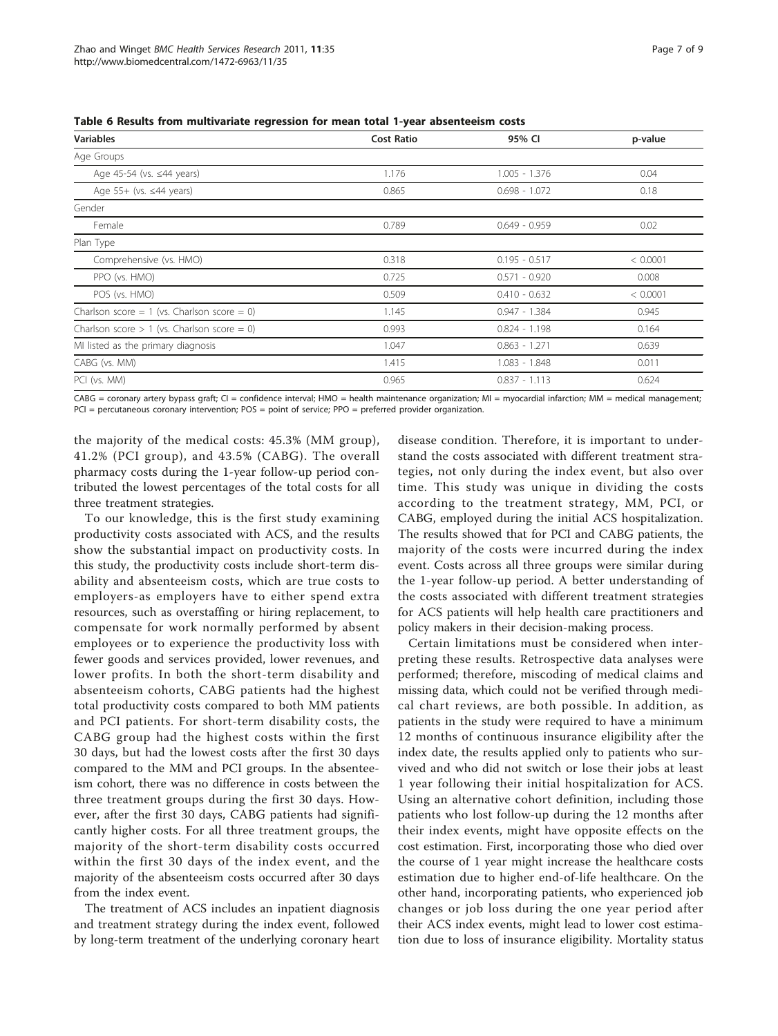<span id="page-6-0"></span>Table 6 Results from multivariate regression for mean total 1-year absenteeism costs

| <b>Variables</b>                              | <b>Cost Ratio</b> | 95% CI          | p-value  |
|-----------------------------------------------|-------------------|-----------------|----------|
| Age Groups                                    |                   |                 |          |
| Age 45-54 (vs. ≤44 years)                     | 1.176             | $1.005 - 1.376$ | 0.04     |
| Age $55+$ (vs. $\leq 44$ years)               | 0.865             | $0.698 - 1.072$ | 0.18     |
| Gender                                        |                   |                 |          |
| Female                                        | 0.789             | $0.649 - 0.959$ | 0.02     |
| Plan Type                                     |                   |                 |          |
| Comprehensive (vs. HMO)                       | 0.318             | $0.195 - 0.517$ | < 0.0001 |
| PPO (vs. HMO)                                 | 0.725             | $0.571 - 0.920$ | 0.008    |
| POS (vs. HMO)                                 | 0.509             | $0.410 - 0.632$ | < 0.0001 |
| Charlson score = $1$ (vs. Charlson score = 0) | 1.145             | $0.947 - 1.384$ | 0.945    |
| Charlson score $> 1$ (vs. Charlson score = 0) | 0.993             | $0.824 - 1.198$ | 0.164    |
| MI listed as the primary diagnosis            | 1.047             | $0.863 - 1.271$ | 0.639    |
| CABG (vs. MM)                                 | 1.415             | $1.083 - 1.848$ | 0.011    |
| PCI (vs. MM)                                  | 0.965             | $0.837 - 1.113$ | 0.624    |

CABG = coronary artery bypass graft; CI = confidence interval; HMO = health maintenance organization; MI = myocardial infarction; MM = medical management; PCI = percutaneous coronary intervention; POS = point of service; PPO = preferred provider organization.

the majority of the medical costs: 45.3% (MM group), 41.2% (PCI group), and 43.5% (CABG). The overall pharmacy costs during the 1-year follow-up period contributed the lowest percentages of the total costs for all three treatment strategies.

To our knowledge, this is the first study examining productivity costs associated with ACS, and the results show the substantial impact on productivity costs. In this study, the productivity costs include short-term disability and absenteeism costs, which are true costs to employers-as employers have to either spend extra resources, such as overstaffing or hiring replacement, to compensate for work normally performed by absent employees or to experience the productivity loss with fewer goods and services provided, lower revenues, and lower profits. In both the short-term disability and absenteeism cohorts, CABG patients had the highest total productivity costs compared to both MM patients and PCI patients. For short-term disability costs, the CABG group had the highest costs within the first 30 days, but had the lowest costs after the first 30 days compared to the MM and PCI groups. In the absenteeism cohort, there was no difference in costs between the three treatment groups during the first 30 days. However, after the first 30 days, CABG patients had significantly higher costs. For all three treatment groups, the majority of the short-term disability costs occurred within the first 30 days of the index event, and the majority of the absenteeism costs occurred after 30 days from the index event.

The treatment of ACS includes an inpatient diagnosis and treatment strategy during the index event, followed by long-term treatment of the underlying coronary heart disease condition. Therefore, it is important to understand the costs associated with different treatment strategies, not only during the index event, but also over time. This study was unique in dividing the costs according to the treatment strategy, MM, PCI, or CABG, employed during the initial ACS hospitalization. The results showed that for PCI and CABG patients, the majority of the costs were incurred during the index event. Costs across all three groups were similar during the 1-year follow-up period. A better understanding of the costs associated with different treatment strategies for ACS patients will help health care practitioners and policy makers in their decision-making process.

Certain limitations must be considered when interpreting these results. Retrospective data analyses were performed; therefore, miscoding of medical claims and missing data, which could not be verified through medical chart reviews, are both possible. In addition, as patients in the study were required to have a minimum 12 months of continuous insurance eligibility after the index date, the results applied only to patients who survived and who did not switch or lose their jobs at least 1 year following their initial hospitalization for ACS. Using an alternative cohort definition, including those patients who lost follow-up during the 12 months after their index events, might have opposite effects on the cost estimation. First, incorporating those who died over the course of 1 year might increase the healthcare costs estimation due to higher end-of-life healthcare. On the other hand, incorporating patients, who experienced job changes or job loss during the one year period after their ACS index events, might lead to lower cost estimation due to loss of insurance eligibility. Mortality status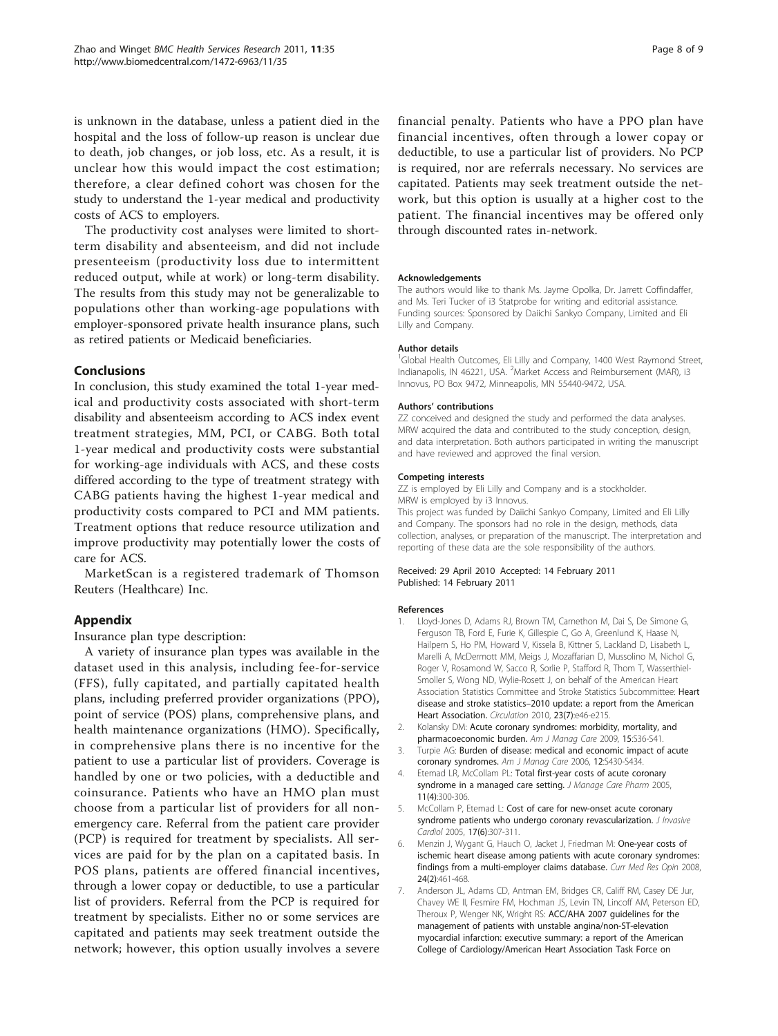<span id="page-7-0"></span>is unknown in the database, unless a patient died in the hospital and the loss of follow-up reason is unclear due to death, job changes, or job loss, etc. As a result, it is unclear how this would impact the cost estimation; therefore, a clear defined cohort was chosen for the study to understand the 1-year medical and productivity costs of ACS to employers.

The productivity cost analyses were limited to shortterm disability and absenteeism, and did not include presenteeism (productivity loss due to intermittent reduced output, while at work) or long-term disability. The results from this study may not be generalizable to populations other than working-age populations with employer-sponsored private health insurance plans, such as retired patients or Medicaid beneficiaries.

## Conclusions

In conclusion, this study examined the total 1-year medical and productivity costs associated with short-term disability and absenteeism according to ACS index event treatment strategies, MM, PCI, or CABG. Both total 1-year medical and productivity costs were substantial for working-age individuals with ACS, and these costs differed according to the type of treatment strategy with CABG patients having the highest 1-year medical and productivity costs compared to PCI and MM patients. Treatment options that reduce resource utilization and improve productivity may potentially lower the costs of care for ACS.

MarketScan is a registered trademark of Thomson Reuters (Healthcare) Inc.

## Appendix

Insurance plan type description:

A variety of insurance plan types was available in the dataset used in this analysis, including fee-for-service (FFS), fully capitated, and partially capitated health plans, including preferred provider organizations (PPO), point of service (POS) plans, comprehensive plans, and health maintenance organizations (HMO). Specifically, in comprehensive plans there is no incentive for the patient to use a particular list of providers. Coverage is handled by one or two policies, with a deductible and coinsurance. Patients who have an HMO plan must choose from a particular list of providers for all nonemergency care. Referral from the patient care provider (PCP) is required for treatment by specialists. All services are paid for by the plan on a capitated basis. In POS plans, patients are offered financial incentives, through a lower copay or deductible, to use a particular list of providers. Referral from the PCP is required for treatment by specialists. Either no or some services are capitated and patients may seek treatment outside the network; however, this option usually involves a severe financial penalty. Patients who have a PPO plan have financial incentives, often through a lower copay or deductible, to use a particular list of providers. No PCP is required, nor are referrals necessary. No services are capitated. Patients may seek treatment outside the network, but this option is usually at a higher cost to the patient. The financial incentives may be offered only through discounted rates in-network.

#### Acknowledgements

The authors would like to thank Ms. Jayme Opolka, Dr. Jarrett Coffindaffer, and Ms. Teri Tucker of i3 Statprobe for writing and editorial assistance. Funding sources: Sponsored by Daiichi Sankyo Company, Limited and Eli Lilly and Company.

#### Author details

<sup>1</sup>Global Health Outcomes, Eli Lilly and Company, 1400 West Raymond Street, Indianapolis, IN 46221, USA. <sup>2</sup>Market Access and Reimbursement (MAR), i3 Innovus, PO Box 9472, Minneapolis, MN 55440-9472, USA.

#### Authors' contributions

ZZ conceived and designed the study and performed the data analyses. MRW acquired the data and contributed to the study conception, design, and data interpretation. Both authors participated in writing the manuscript and have reviewed and approved the final version.

#### Competing interests

ZZ is employed by Eli Lilly and Company and is a stockholder. MRW is employed by i3 Innovus.

This project was funded by Daiichi Sankyo Company, Limited and Eli Lilly and Company. The sponsors had no role in the design, methods, data collection, analyses, or preparation of the manuscript. The interpretation and reporting of these data are the sole responsibility of the authors.

#### Received: 29 April 2010 Accepted: 14 February 2011 Published: 14 February 2011

#### References

- 1. Lloyd-Jones D, Adams RJ, Brown TM, Carnethon M, Dai S, De Simone G, Ferguson TB, Ford E, Furie K, Gillespie C, Go A, Greenlund K, Haase N, Hailpern S, Ho PM, Howard V, Kissela B, Kittner S, Lackland D, Lisabeth L, Marelli A, McDermott MM, Meigs J, Mozaffarian D, Mussolino M, Nichol G, Roger V, Rosamond W, Sacco R, Sorlie P, Stafford R, Thom T, Wasserthiel-Smoller S, Wong ND, Wylie-Rosett J, on behalf of the American Heart Association Statistics Committee and Stroke Statistics Subcommittee: Heart disease and stroke statistics–2010 update: a report from the American Heart Association. Circulation 2010, 23(7):e46-e215.
- 2. Kolansky DM: [Acute coronary syndromes: morbidity, mortality, and](http://www.ncbi.nlm.nih.gov/pubmed/19355807?dopt=Abstract) [pharmacoeconomic burden.](http://www.ncbi.nlm.nih.gov/pubmed/19355807?dopt=Abstract) Am J Manag Care 2009, 15:S36-S41.
- 3. Turpie AG: [Burden of disease: medical and economic impact of acute](http://www.ncbi.nlm.nih.gov/pubmed/17203987?dopt=Abstract) [coronary syndromes.](http://www.ncbi.nlm.nih.gov/pubmed/17203987?dopt=Abstract) Am J Manag Care 2006, 12:S430-S434.
- 4. Etemad LR, McCollam PL: Total first-year costs of acute coronary syndrome in a managed care setting. J Manage Care Pharm 2005, 11(4):300-306.
- 5. McCollam P, Etemad L: [Cost of care for new-onset acute coronary](http://www.ncbi.nlm.nih.gov/pubmed/16003005?dopt=Abstract) [syndrome patients who undergo coronary revascularization.](http://www.ncbi.nlm.nih.gov/pubmed/16003005?dopt=Abstract) J Invasive Cardiol 2005, 17(6):307-311.
- 6. Menzin J, Wygant G, Hauch O, Jacket J, Friedman M: [One-year costs of](http://www.ncbi.nlm.nih.gov/pubmed/18194592?dopt=Abstract) [ischemic heart disease among patients with acute coronary syndromes:](http://www.ncbi.nlm.nih.gov/pubmed/18194592?dopt=Abstract) [findings from a multi-employer claims database.](http://www.ncbi.nlm.nih.gov/pubmed/18194592?dopt=Abstract) Curr Med Res Opin 2008, 24(2):461-468.
- 7. Anderson JL, Adams CD, Antman EM, Bridges CR, Califf RM, Casey DE Jur, Chavey WE II, Fesmire FM, Hochman JS, Levin TN, Lincoff AM, Peterson ED, Theroux P, Wenger NK, Wright RS: ACC/AHA 2007 guidelines for the management of patients with unstable angina/non-ST-elevation myocardial infarction: executive summary: a report of the American College of Cardiology/American Heart Association Task Force on